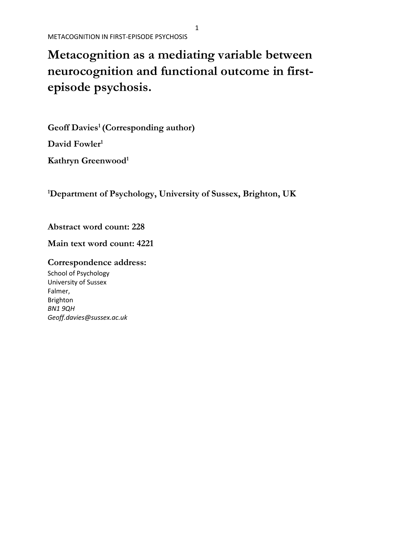# **Metacognition as a mediating variable between neurocognition and functional outcome in firstepisode psychosis.**

**Geoff Davies<sup>1</sup> (Corresponding author) David Fowler<sup>1</sup>**

**Kathryn Greenwood<sup>1</sup>**

**<sup>1</sup>Department of Psychology, University of Sussex, Brighton, UK**

**Abstract word count: 228**

**Main text word count: 4221**

**Correspondence address:**

School of Psychology University of Sussex Falmer, Brighton *BN1 9QH Geoff.davies@sussex.ac.uk*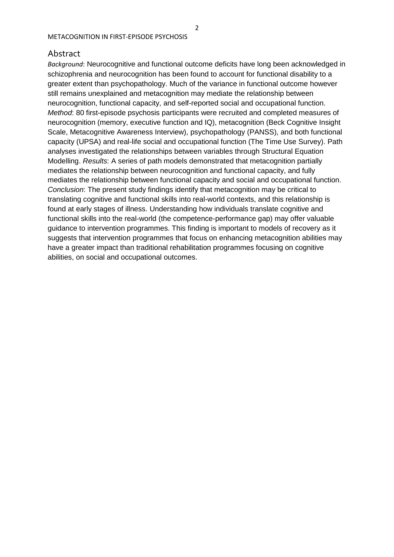# Abstract

*Background*: Neurocognitive and functional outcome deficits have long been acknowledged in schizophrenia and neurocognition has been found to account for functional disability to a greater extent than psychopathology. Much of the variance in functional outcome however still remains unexplained and metacognition may mediate the relationship between neurocognition, functional capacity, and self-reported social and occupational function. *Method*: 80 first-episode psychosis participants were recruited and completed measures of neurocognition (memory, executive function and IQ), metacognition (Beck Cognitive Insight Scale, Metacognitive Awareness Interview), psychopathology (PANSS), and both functional capacity (UPSA) and real-life social and occupational function (The Time Use Survey). Path analyses investigated the relationships between variables through Structural Equation Modelling. *Results*: A series of path models demonstrated that metacognition partially mediates the relationship between neurocognition and functional capacity, and fully mediates the relationship between functional capacity and social and occupational function. *Conclusion*: The present study findings identify that metacognition may be critical to translating cognitive and functional skills into real-world contexts, and this relationship is found at early stages of illness. Understanding how individuals translate cognitive and functional skills into the real-world (the competence-performance gap) may offer valuable guidance to intervention programmes. This finding is important to models of recovery as it suggests that intervention programmes that focus on enhancing metacognition abilities may have a greater impact than traditional rehabilitation programmes focusing on cognitive abilities, on social and occupational outcomes.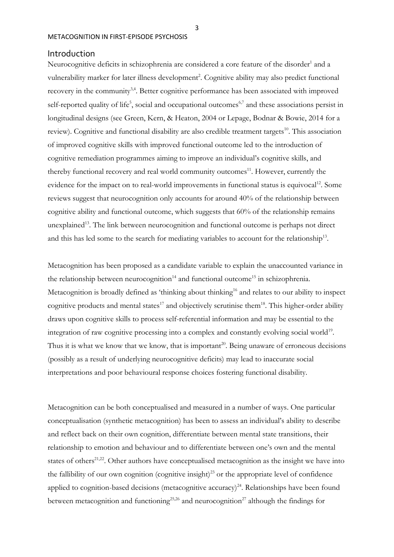# Introduction

Neurocognitive deficits in schizophrenia are considered a core feature of the disorder<sup>1</sup> and a vulnerability marker for later illness development<sup>2</sup>. Cognitive ability may also predict functional recovery in the community<sup>3,4</sup>. Better cognitive performance has been associated with improved self-reported quality of life<sup>5</sup>, social and occupational outcomes<sup>6,7</sup> and these associations persist in longitudinal designs (see Green, Kern, & Heaton, 2004 or Lepage, Bodnar & Bowie, 2014 for a review). Cognitive and functional disability are also credible treatment targets<sup>10</sup>. This association of improved cognitive skills with improved functional outcome led to the introduction of cognitive remediation programmes aiming to improve an individual's cognitive skills, and thereby functional recovery and real world community outcomes<sup>11</sup>. However, currently the evidence for the impact on to real-world improvements in functional status is equivocal<sup>12</sup>. Some reviews suggest that neurocognition only accounts for around 40% of the relationship between cognitive ability and functional outcome, which suggests that 60% of the relationship remains unexplained<sup>13</sup>. The link between neurocognition and functional outcome is perhaps not direct and this has led some to the search for mediating variables to account for the relationship<sup>13</sup>.

Metacognition has been proposed as a candidate variable to explain the unaccounted variance in the relationship between neurocognition<sup>14</sup> and functional outcome<sup>15</sup> in schizophrenia. Metacognition is broadly defined as 'thinking about thinking<sup>16</sup> and relates to our ability to inspect cognitive products and mental states<sup>17</sup> and objectively scrutinise them<sup>18</sup>. This higher-order ability draws upon cognitive skills to process self-referential information and may be essential to the integration of raw cognitive processing into a complex and constantly evolving social world<sup>19</sup>. Thus it is what we know that we know, that is important<sup>20</sup>. Being unaware of erroneous decisions (possibly as a result of underlying neurocognitive deficits) may lead to inaccurate social interpretations and poor behavioural response choices fostering functional disability.

Metacognition can be both conceptualised and measured in a number of ways. One particular conceptualisation (synthetic metacognition) has been to assess an individual's ability to describe and reflect back on their own cognition, differentiate between mental state transitions, their relationship to emotion and behaviour and to differentiate between one's own and the mental states of others<sup>21,22</sup>. Other authors have conceptualised metacognition as the insight we have into the fallibility of our own cognition (cognitive insight)<sup>23</sup> or the appropriate level of confidence applied to cognition-based decisions (metacognitive accuracy)<sup>24</sup>. Relationships have been found between metacognition and functioning<sup>25,26</sup> and neurocognition<sup>27</sup> although the findings for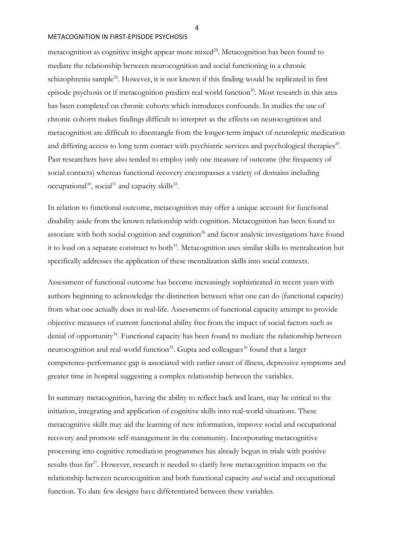metacognition as cognitive insight appear more mixed<sup>28</sup>. Metacognition has been found to mediate the relationship between neurocognition and social functioning in a chronic schizophrenia sample<sup>26</sup>. However, it is not known if this finding would be replicated in first episode psychosis or if metacognition predicts real world function<sup>26</sup>. Most research in this area has been completed on chronic cohorts which introduces confounds. In studies the use of chronic cohorts makes findings difficult to interpret as the effects on neurocognition and metacognition are difficult to disentangle from the longer-term impact of neuroleptic medication and differing access to long term contact with psychiatric services and psychological therapies<sup>29</sup>. Past researchers have also tended to employ only one measure of outcome (the frequency of social contacts) whereas functional recovery encompasses a variety of domains including occupational<sup>30</sup>, social<sup>31</sup> and capacity skills<sup>32</sup>.

In relation to functional outcome, metacognition may offer a unique account for functional disability aside from the known relationship with cognition. Metacognition has been found to associate with both social cognition and cognition<sup>26</sup> and factor analytic investigations have found it to load on a separate construct to both<sup>33</sup>. Metacognition uses similar skills to mentalization but specifically addresses the application of these mentalization skills into social contexts.

Assessment of functional outcome has become increasingly sophisticated in recent years with authors beginning to acknowledge the distinction between what one can do (functional capacity) from what one actually does in real-life. Assessments of functional capacity attempt to provide objective measures of current functional ability free from the impact of social factors such as denial of opportunity<sup>34</sup>. Functional capacity has been found to mediate the relationship between neurocognition and real-world function<sup>35</sup>. Gupta and colleagues<sup>36</sup> found that a larger competence-performance gap is associated with earlier onset of illness, depressive symptoms and greater time in hospital suggesting a complex relationship between the variables.

In summary metacognition, having the ability to reflect back and learn, may be critical to the initiation, integrating and application of cognitive skills into real-world situations. These metacognitive skills may aid the learning of new information, improve social and occupational recovery and promote self-management in the community. Incorporating metacognitive processing into cognitive remediation programmes has already begun in trials with positive results thus far<sup>37</sup>. However, research is needed to clarify how metacognition impacts on the relationship between neurocognition and both functional capacity *and* social and occupational function. To date few designs have differentiated between these variables.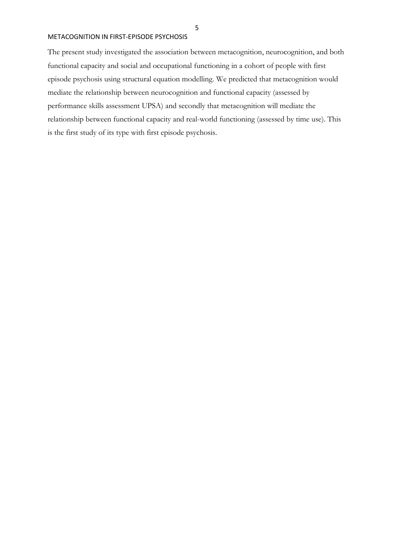The present study investigated the association between metacognition, neurocognition, and both functional capacity and social and occupational functioning in a cohort of people with first episode psychosis using structural equation modelling. We predicted that metacognition would mediate the relationship between neurocognition and functional capacity (assessed by performance skills assessment UPSA) and secondly that metacognition will mediate the relationship between functional capacity and real-world functioning (assessed by time use)*.* This is the first study of its type with first episode psychosis.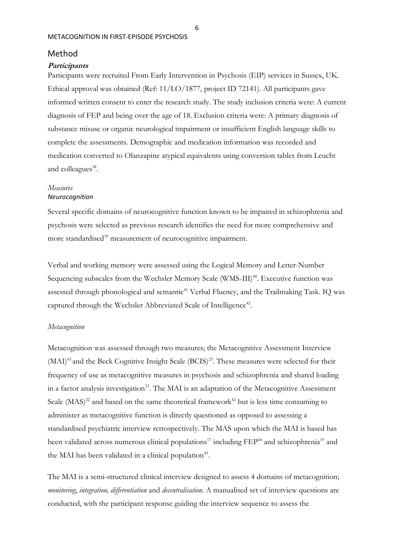# Method

#### **Participants**

Participants were recruited From Early Intervention in Psychosis (EIP) services in Sussex, UK. Ethical approval was obtained (Ref: 11/LO/1877, project ID 72141). All participants gave informed written consent to enter the research study. The study inclusion criteria were: A current diagnosis of FEP and being over the age of 18. Exclusion criteria were: A primary diagnosis of substance misuse or organic neurological impairment or insufficient English language skills to complete the assessments. Demographic and medication information was recorded and medication converted to Olanzapine atypical equivalents using conversion tables from Leucht and colleagues<sup>38</sup>.

#### *Measures Neurocognition*

Several specific domains of neurocognitive function known to be impaired in schizophrenia and psychosis were selected as previous research identifies the need for more comprehensive and more standardised<sup>39</sup> measurement of neurocognitive impairment.

Verbal and working memory were assessed using the Logical Memory and Letter-Number Sequencing subscales from the Wechsler Memory Scale (WMS-III)<sup>40</sup>. Executive function was assessed through phonological and semantic<sup>41</sup> Verbal Fluency, and the Trailmaking Task. IQ was captured through the Wechsler Abbreviated Scale of Intelligence<sup>42</sup>.

#### *Metacognition*

Metacognition was assessed through two measures; the Metacognitive Assessment Interview (MAI)<sup>43</sup> and the Beck Cognitive Insight Scale (BCIS)<sup>23</sup>. These measures were selected for their frequency of use as metacognitive measures in psychosis and schizophrenia and shared loading in a factor analysis investigation<sup>33</sup>. The MAI is an adaptation of the Metacognitive Assessment Scale  $(MAS)^{22}$  and based on the same theoretical framework<sup>42</sup> but is less time consuming to administer as metacognitive function is directly questioned as opposed to assessing a standardised psychiatric interview retrospectively. The MAS upon which the MAI is based has been validated across numerous clinical populations<sup>17</sup> including FEP<sup>44</sup> and schizophrenia<sup>19</sup> and the MAI has been validated in a clinical population<sup>45</sup>.

The MAI is a semi-structured clinical interview designed to assess 4 domains of metacognition; *monitoring*, *integration, differentiation* and *decentralisation*. A manualised set of interview questions are conducted, with the participant response guiding the interview sequence to assess the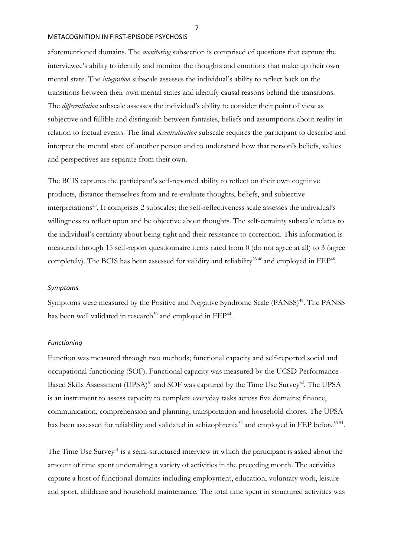aforementioned domains. The *monitoring* subsection is comprised of questions that capture the interviewee's ability to identify and monitor the thoughts and emotions that make up their own mental state. The *integration* subscale assesses the individual's ability to reflect back on the transitions between their own mental states and identify causal reasons behind the transitions. The *differentiation* subscale assesses the individual's ability to consider their point of view as subjective and fallible and distinguish between fantasies, beliefs and assumptions about reality in relation to factual events. The final *decentralisation* subscale requires the participant to describe and interpret the mental state of another person and to understand how that person's beliefs, values and perspectives are separate from their own.

The BCIS captures the participant's self-reported ability to reflect on their own cognitive products, distance themselves from and re-evaluate thoughts, beliefs, and subjective interpretations<sup>23</sup>. It comprises 2 subscales; the self-reflectiveness scale assesses the individual's willingness to reflect upon and be objective about thoughts. The self-certainty subscale relates to the individual's certainty about being right and their resistance to correction. This information is measured through 15 self-report questionnaire items rated from 0 (do not agree at all) to 3 (agree completely). The BCIS has been assessed for validity and reliability<sup>23 46</sup> and employed in  $\text{FEP}^{48}$ .

#### *Symptoms*

Symptoms were measured by the Positive and Negative Syndrome Scale (PANSS)<sup>49</sup>. The PANSS has been well validated in research<sup>50</sup> and employed in  $\rm{FEP^{44}}$ .

#### *Functioning*

Function was measured through two methods; functional capacity and self-reported social and occupational functioning (SOF). Functional capacity was measured by the UCSD Performance-Based Skills Assessment (UPSA)<sup>51</sup> and SOF was captured by the Time Use Survey<sup>52</sup>. The UPSA is an instrument to assess capacity to complete everyday tasks across five domains; finance, communication, comprehension and planning, transportation and household chores. The UPSA has been assessed for reliability and validated in schizophrenia<sup>52</sup> and employed in FEP before<sup>53 54</sup>.

The Time Use Survey<sup>51</sup> is a semi-structured interview in which the participant is asked about the amount of time spent undertaking a variety of activities in the preceding month. The activities capture a host of functional domains including employment, education, voluntary work, leisure and sport, childcare and household maintenance. The total time spent in structured activities was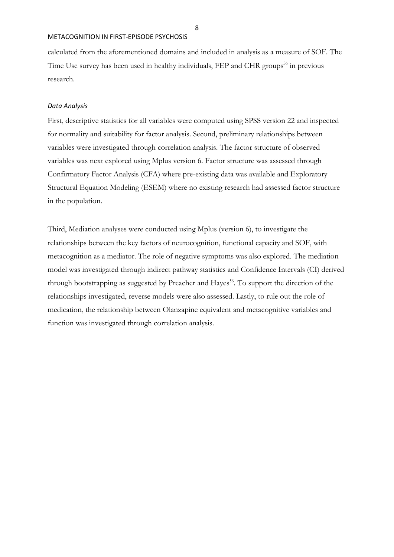calculated from the aforementioned domains and included in analysis as a measure of SOF. The Time Use survey has been used in healthy individuals, FEP and CHR groups<sup>56</sup> in previous research.

#### *Data Analysis*

First, descriptive statistics for all variables were computed using SPSS version 22 and inspected for normality and suitability for factor analysis. Second, preliminary relationships between variables were investigated through correlation analysis. The factor structure of observed variables was next explored using Mplus version 6. Factor structure was assessed through Confirmatory Factor Analysis (CFA) where pre-existing data was available and Exploratory Structural Equation Modeling (ESEM) where no existing research had assessed factor structure in the population.

Third, Mediation analyses were conducted using Mplus (version 6), to investigate the relationships between the key factors of neurocognition, functional capacity and SOF, with metacognition as a mediator. The role of negative symptoms was also explored. The mediation model was investigated through indirect pathway statistics and Confidence Intervals (CI) derived through bootstrapping as suggested by Preacher and Hayes<sup>56</sup>. To support the direction of the relationships investigated, reverse models were also assessed. Lastly, to rule out the role of medication, the relationship between Olanzapine equivalent and metacognitive variables and function was investigated through correlation analysis.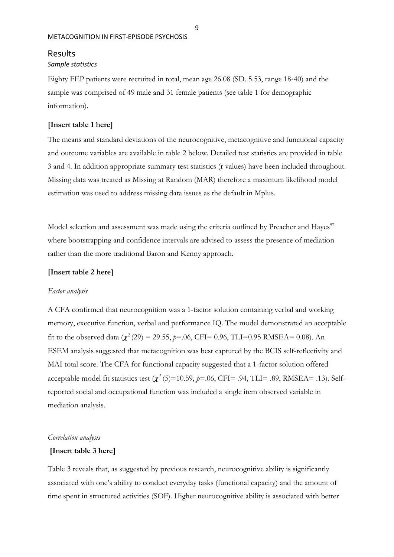# Results

## *Sample statistics*

Eighty FEP patients were recruited in total, mean age 26.08 (SD. 5.53, range 18-40) and the sample was comprised of 49 male and 31 female patients (see table 1 for demographic information).

#### **[Insert table 1 here]**

The means and standard deviations of the neurocognitive, metacognitive and functional capacity and outcome variables are available in table 2 below. Detailed test statistics are provided in table 3 and 4. In addition appropriate summary test statistics (r values) have been included throughout. Missing data was treated as Missing at Random (MAR) therefore a maximum likelihood model estimation was used to address missing data issues as the default in Mplus.

Model selection and assessment was made using the criteria outlined by Preacher and Hayes<sup>57</sup> where bootstrapping and confidence intervals are advised to assess the presence of mediation rather than the more traditional Baron and Kenny approach.

#### **[Insert table 2 here]**

#### *Factor analysis*

A CFA confirmed that neurocognition was a 1-factor solution containing verbal and working memory, executive function, verbal and performance IQ. The model demonstrated an acceptable fit to the observed data  $(\chi^2(29) = 29.55, \rho = .06, \text{CFI} = 0.96, \text{TLI} = 0.95 \text{ RMSEA} = 0.08)$ . An ESEM analysis suggested that metacognition was best captured by the BCIS self-reflectivity and MAI total score. The CFA for functional capacity suggested that a 1-factor solution offered acceptable model fit statistics test  $(\chi^2(5)=10.59, p=.06, CFI=.94, TLI=.89, RMSEA=.13)$ . Selfreported social and occupational function was included a single item observed variable in mediation analysis.

#### *Correlation analysis*

#### **[Insert table 3 here]**

Table 3 reveals that, as suggested by previous research, neurocognitive ability is significantly associated with one's ability to conduct everyday tasks (functional capacity) and the amount of time spent in structured activities (SOF). Higher neurocognitive ability is associated with better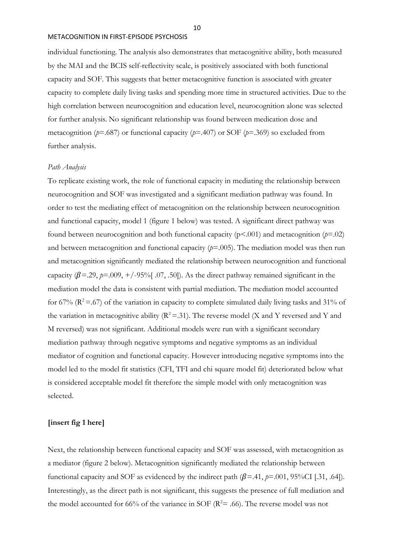individual functioning. The analysis also demonstrates that metacognitive ability, both measured by the MAI and the BCIS self-reflectivity scale, is positively associated with both functional capacity and SOF. This suggests that better metacognitive function is associated with greater capacity to complete daily living tasks and spending more time in structured activities. Due to the high correlation between neurocognition and education level, neurocognition alone was selected for further analysis. No significant relationship was found between medication dose and metacognition (*p*=.687) or functional capacity (*p*=.407) or SOF (*p*=.369) so excluded from further analysis.

#### *Path Analysis*

To replicate existing work, the role of functional capacity in mediating the relationship between neurocognition and SOF was investigated and a significant mediation pathway was found. In order to test the mediating effect of metacognition on the relationship between neurocognition and functional capacity, model 1 (figure 1 below) was tested. A significant direct pathway was found between neurocognition and both functional capacity (p<.001) and metacognition (*p*=.02) and between metacognition and functional capacity  $(p=0.005)$ . The mediation model was then run and metacognition significantly mediated the relationship between neurocognition and functional capacity  $(\beta = 29, \beta = 0.009, +/-95\%$  [.07, .50]). As the direct pathway remained significant in the mediation model the data is consistent with partial mediation. The mediation model accounted for 67% ( $\mathbb{R}^2 = 67$ ) of the variation in capacity to complete simulated daily living tasks and 31% of the variation in metacognitive ability ( $R^2 = 0.31$ ). The reverse model (X and Y reversed and Y and M reversed) was not significant. Additional models were run with a significant secondary mediation pathway through negative symptoms and negative symptoms as an individual mediator of cognition and functional capacity. However introducing negative symptoms into the model led to the model fit statistics (CFI, TFI and chi square model fit) deteriorated below what is considered acceptable model fit therefore the simple model with only metacognition was selected.

#### **[insert fig 1 here]**

Next, the relationship between functional capacity and SOF was assessed, with metacognition as a mediator (figure 2 below). Metacognition significantly mediated the relationship between functional capacity and SOF as evidenced by the indirect path  $(\beta = .41, \beta = .001, 95\%$ CI [.31, .64]). Interestingly, as the direct path is not significant, this suggests the presence of full mediation and the model accounted for 66% of the variance in SOF ( $\mathbb{R}^2$  = .66). The reverse model was not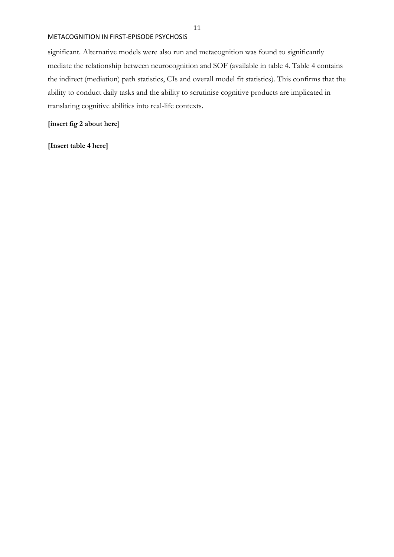significant. Alternative models were also run and metacognition was found to significantly mediate the relationship between neurocognition and SOF (available in table 4. Table 4 contains the indirect (mediation) path statistics, CIs and overall model fit statistics). This confirms that the ability to conduct daily tasks and the ability to scrutinise cognitive products are implicated in translating cognitive abilities into real-life contexts.

**[insert fig 2 about here**]

**[Insert table 4 here]**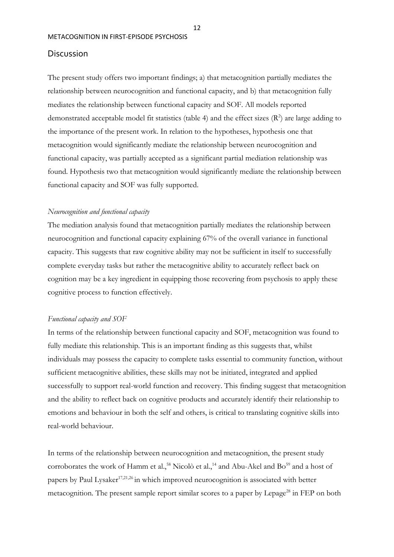# Discussion

The present study offers two important findings; a) that metacognition partially mediates the relationship between neurocognition and functional capacity, and b) that metacognition fully mediates the relationship between functional capacity and SOF. All models reported demonstrated acceptable model fit statistics (table 4) and the effect sizes  $(R^2)$  are large adding to the importance of the present work. In relation to the hypotheses, hypothesis one that metacognition would significantly mediate the relationship between neurocognition and functional capacity, was partially accepted as a significant partial mediation relationship was found. Hypothesis two that metacognition would significantly mediate the relationship between functional capacity and SOF was fully supported.

## *Neurocognition and functional capacity*

The mediation analysis found that metacognition partially mediates the relationship between neurocognition and functional capacity explaining 67% of the overall variance in functional capacity. This suggests that raw cognitive ability may not be sufficient in itself to successfully complete everyday tasks but rather the metacognitive ability to accurately reflect back on cognition may be a key ingredient in equipping those recovering from psychosis to apply these cognitive process to function effectively.

#### *Functional capacity and SOF*

In terms of the relationship between functional capacity and SOF, metacognition was found to fully mediate this relationship. This is an important finding as this suggests that, whilst individuals may possess the capacity to complete tasks essential to community function, without sufficient metacognitive abilities, these skills may not be initiated, integrated and applied successfully to support real-world function and recovery. This finding suggest that metacognition and the ability to reflect back on cognitive products and accurately identify their relationship to emotions and behaviour in both the self and others, is critical to translating cognitive skills into real-world behaviour.

In terms of the relationship between neurocognition and metacognition, the present study corroborates the work of Hamm et al.,<sup>58</sup> Nicolò et al.,<sup>14</sup> and Abu-Akel and Bo<sup>59</sup> and a host of papers by Paul Lysaker<sup>17,21,26</sup> in which improved neurocognition is associated with better metacognition. The present sample report similar scores to a paper by Lepage<sup>28</sup> in FEP on both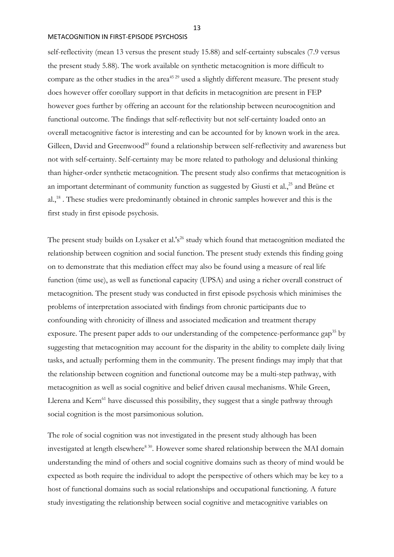self-reflectivity (mean 13 versus the present study 15.88) and self-certainty subscales (7.9 versus the present study 5.88). The work available on synthetic metacognition is more difficult to compare as the other studies in the area<sup>45 29</sup> used a slightly different measure. The present study does however offer corollary support in that deficits in metacognition are present in FEP however goes further by offering an account for the relationship between neurocognition and functional outcome. The findings that self-reflectivity but not self-certainty loaded onto an overall metacognitive factor is interesting and can be accounted for by known work in the area. Gilleen, David and Greenwood<sup>60</sup> found a relationship between self-reflectivity and awareness but not with self-certainty. Self-certainty may be more related to pathology and delusional thinking than higher-order synthetic metacognition*.* The present study also confirms that metacognition is an important determinant of community function as suggested by Giusti et al.,<sup>25</sup> and Brüne et al.,<sup>18</sup>. These studies were predominantly obtained in chronic samples however and this is the first study in first episode psychosis.

The present study builds on Lysaker et al.'s<sup>26</sup> study which found that metacognition mediated the relationship between cognition and social function. The present study extends this finding going on to demonstrate that this mediation effect may also be found using a measure of real life function (time use), as well as functional capacity (UPSA) and using a richer overall construct of metacognition. The present study was conducted in first episode psychosis which minimises the problems of interpretation associated with findings from chronic participants due to confounding with chronicity of illness and associated medication and treatment therapy exposure. The present paper adds to our understanding of the competence-performance gap<sup>35</sup> by suggesting that metacognition may account for the disparity in the ability to complete daily living tasks, and actually performing them in the community. The present findings may imply that that the relationship between cognition and functional outcome may be a multi-step pathway, with metacognition as well as social cognitive and belief driven causal mechanisms. While Green, Llerena and Kern<sup>61</sup> have discussed this possibility, they suggest that a single pathway through social cognition is the most parsimonious solution.

The role of social cognition was not investigated in the present study although has been investigated at length elsewhere<sup>8 30</sup>. However some shared relationship between the MAI domain understanding the mind of others and social cognitive domains such as theory of mind would be expected as both require the individual to adopt the perspective of others which may be key to a host of functional domains such as social relationships and occupational functioning. A future study investigating the relationship between social cognitive and metacognitive variables on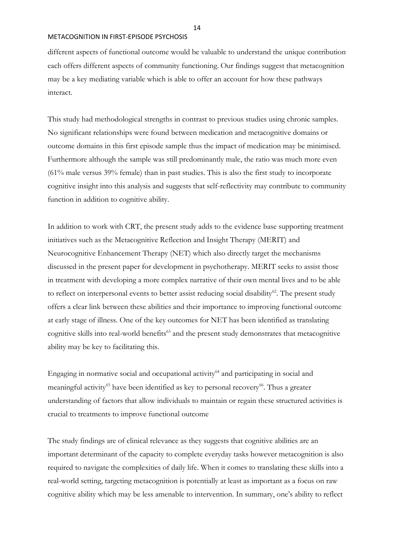different aspects of functional outcome would be valuable to understand the unique contribution each offers different aspects of community functioning. Our findings suggest that metacognition may be a key mediating variable which is able to offer an account for how these pathways interact.

This study had methodological strengths in contrast to previous studies using chronic samples. No significant relationships were found between medication and metacognitive domains or outcome domains in this first episode sample thus the impact of medication may be minimised. Furthermore although the sample was still predominantly male, the ratio was much more even (61% male versus 39% female) than in past studies. This is also the first study to incorporate cognitive insight into this analysis and suggests that self-reflectivity may contribute to community function in addition to cognitive ability.

In addition to work with CRT, the present study adds to the evidence base supporting treatment initiatives such as the Metacognitive Reflection and Insight Therapy (MERIT) and Neurocognitive Enhancement Therapy (NET) which also directly target the mechanisms discussed in the present paper for development in psychotherapy. MERIT seeks to assist those in treatment with developing a more complex narrative of their own mental lives and to be able to reflect on interpersonal events to better assist reducing social disability $62$ . The present study offers a clear link between these abilities and their importance to improving functional outcome at early stage of illness. One of the key outcomes for NET has been identified as translating cognitive skills into real-world benefits<sup>63</sup> and the present study demonstrates that metacognitive ability may be key to facilitating this.

Engaging in normative social and occupational activity $64$  and participating in social and meaningful activity<sup>65</sup> have been identified as key to personal recovery<sup>66</sup>. Thus a greater understanding of factors that allow individuals to maintain or regain these structured activities is crucial to treatments to improve functional outcome

The study findings are of clinical relevance as they suggests that cognitive abilities are an important determinant of the capacity to complete everyday tasks however metacognition is also required to navigate the complexities of daily life. When it comes to translating these skills into a real-world setting, targeting metacognition is potentially at least as important as a focus on raw cognitive ability which may be less amenable to intervention. In summary, one's ability to reflect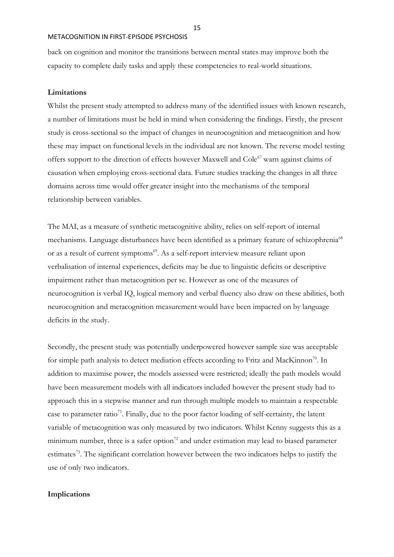back on cognition and monitor the transitions between mental states may improve both the capacity to complete daily tasks and apply these competencies to real-world situations.

#### **Limitations**

Whilst the present study attempted to address many of the identified issues with known research, a number of limitations must be held in mind when considering the findings. Firstly, the present study is cross-sectional so the impact of changes in neurocognition and metacognition and how these may impact on functional levels in the individual are not known. The reverse model testing offers support to the direction of effects however Maxwell and Cole<sup>67</sup> warn against claims of causation when employing cross-sectional data. Future studies tracking the changes in all three domains across time would offer greater insight into the mechanisms of the temporal relationship between variables.

The MAI, as a measure of synthetic metacognitive ability, relies on self-report of internal mechanisms. Language disturbances have been identified as a primary feature of schizophrenia<sup>68</sup> or as a result of current symptoms<sup>69</sup>. As a self-report interview measure reliant upon verbalisation of internal experiences, deficits may be due to linguistic deficits or descriptive impairment rather than metacognition per se. However as one of the measures of neurocognition is verbal IQ, logical memory and verbal fluency also draw on these abilities, both neurocognition and metacognition measurement would have been impacted on by language deficits in the study.

Secondly, the present study was potentially underpowered however sample size was acceptable for simple path analysis to detect mediation effects according to Fritz and MacKinnon<sup>70</sup>. In addition to maximise power, the models assessed were restricted; ideally the path models would have been measurement models with all indicators included however the present study had to approach this in a stepwise manner and run through multiple models to maintain a respectable case to parameter ratio<sup>71</sup>. Finally, due to the poor factor loading of self-certainty, the latent variable of metacognition was only measured by two indicators. Whilst Kenny suggests this as a minimum number, three is a safer option<sup>72</sup> and under estimation may lead to biased parameter estimates<sup>73</sup>. The significant correlation however between the two indicators helps to justify the use of only two indicators.

## **Implications**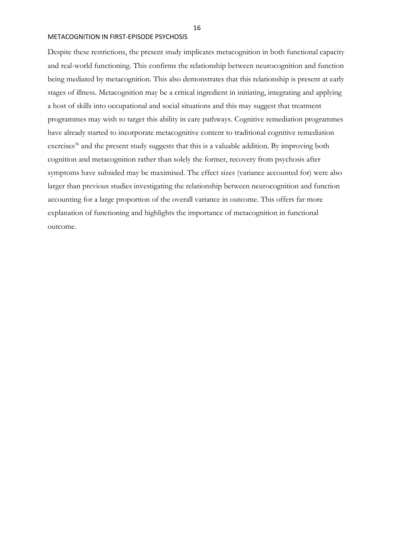Despite these restrictions, the present study implicates metacognition in both functional capacity and real-world functioning. This confirms the relationship between neurocognition and function being mediated by metacognition. This also demonstrates that this relationship is present at early stages of illness. Metacognition may be a critical ingredient in initiating, integrating and applying a host of skills into occupational and social situations and this may suggest that treatment programmes may wish to target this ability in care pathways. Cognitive remediation programmes have already started to incorporate metacognitive content to traditional cognitive remediation exercises<sup>36</sup> and the present study suggests that this is a valuable addition. By improving both cognition and metacognition rather than solely the former, recovery from psychosis after symptoms have subsided may be maximised. The effect sizes (variance accounted for) were also larger than previous studies investigating the relationship between neurocognition and function accounting for a large proportion of the overall variance in outcome. This offers far more explanation of functioning and highlights the importance of metacognition in functional outcome.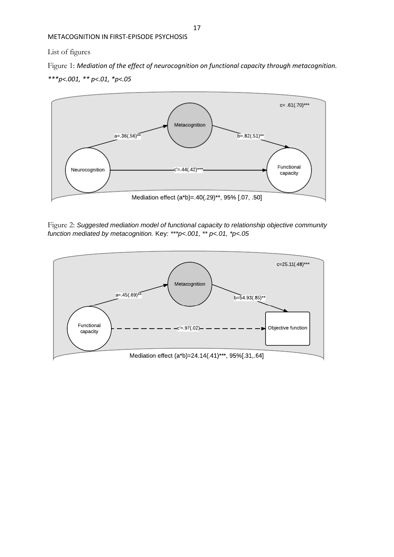# List of figures

Figure 1: *Mediation of the effect of neurocognition on functional capacity through metacognition. \*\*\*p<.001, \*\* p<.01, \*p<.05*



Figure 2: *Suggested mediation model of functional capacity to relationship objective community function mediated by metacognition.* Key: *\*\*\*p<.001, \*\* p<.01, \*p<.05*

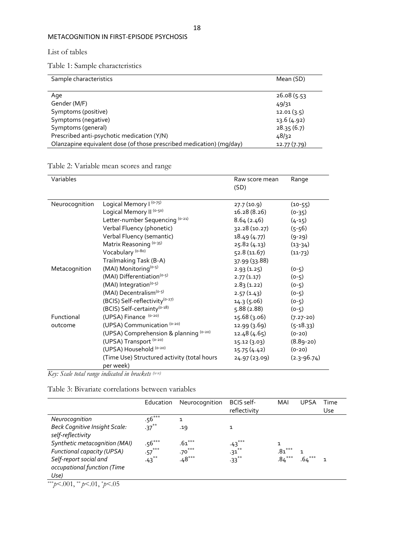List of tables

Table 1: Sample characteristics

| Sample characteristics                                               | Mean (SD)    |
|----------------------------------------------------------------------|--------------|
|                                                                      |              |
| Age                                                                  | 26.08(5.53)  |
| Gender (M/F)                                                         | 49/31        |
| Symptoms (positive)                                                  | 12.01(3.5)   |
| Symptoms (negative)                                                  | 13.6(4.92)   |
| Symptoms (general)                                                   | 28.35(6.7)   |
| Prescribed anti-psychotic medication (Y/N)                           | 48/32        |
| Olanzapine equivalent dose (of those prescribed medication) (mg/day) | 12.77 (7.79) |

Table 2: Variable mean scores and range

| Variables      |                                             | Raw score mean<br>(SD) | Range           |  |
|----------------|---------------------------------------------|------------------------|-----------------|--|
| Neurocognition | Logical Memory I (0-75)                     | 27.7 (10.9)            | $(10-55)$       |  |
|                | Logical Memory II (0-50)                    | 16.28 (8.26)           | $(0-35)$        |  |
|                | Letter-number Sequencing (0-21)             | 8.64(2.46)             | $(4-15)$        |  |
|                | Verbal Fluency (phonetic)                   | 32.28 (10.27)          | $(5-56)$        |  |
|                | Verbal Fluency (semantic)                   | 18.49 (4.77)           | $(9-29)$        |  |
|                | Matrix Reasoning (0-35)                     | 25.82 (4.13)           | $(13-34)$       |  |
|                | Vocabulary <sup>(0-80)</sup>                | 52.8(11.67)            | $(11-73)$       |  |
|                | Trailmaking Task (B-A)                      | 37.99 (33.88)          |                 |  |
| Metacognition  | (MAI) Monitoring <sup>(0-5)</sup>           | 2.93(1.25)             | $(0-5)$         |  |
|                | (MAI) Differentiation <sup>(0-5)</sup>      | 2.77(1.17)             | $(0-5)$         |  |
|                | (MAI) Integration <sup>(o-5)</sup>          | 2.83(1.22)             | $(0-5)$         |  |
|                | (MAI) Decentralism <sup>(0-5)</sup>         | 2.57(1.43)             | $(0-5)$         |  |
|                | (BCIS) Self-reflectivity <sup>(0-27)</sup>  | 14.3(5.06)             | $(0-5)$         |  |
|                | (BCIS) Self-certainty <sup>(0-18)</sup>     | 5.88(2.88)             | $(0-5)$         |  |
| Functional     | (UPSA) Finance (0-20)                       | 15.68 (3.06)           | $(7.27 - 20)$   |  |
| outcome        | (UPSA) Communication (0-20)                 | 12.99 (3.69)           | $(5-18.33)$     |  |
|                | (UPSA) Comprehension & planning (0-20)      | 12.48 (4.65)           | $(0-20)$        |  |
|                | (UPSA) Transport (0-20)                     | 15.12 (3.03)           | $(8.89 - 20)$   |  |
|                | (UPSA) Household (0-20)                     | 15.75(4.42)            | $(0-20)$        |  |
|                | (Time Use) Structured activity (total hours | 24.97 (23.09)          | $(2.3 - 96.74)$ |  |
|                | per week)                                   |                        |                 |  |

*Key: Scale total range indicated in brackets (x-x)*

Table 3: Bivariate correlations between variables

|                                      | Education | Neurocognition | BCIS self-<br>reflectivity | MAI       | UPSA     | Time<br>Use |
|--------------------------------------|-----------|----------------|----------------------------|-----------|----------|-------------|
| Neurocognition                       | $.56***$  | 1              |                            |           |          |             |
| <b>Beck Cognitive Insight Scale:</b> | $-37***$  | .19            | 1                          |           |          |             |
| self-reflectivity                    |           |                |                            |           |          |             |
| Synthetic metacognition (MAI)        | $.56***$  | $.61***$       | $.43***$                   |           |          |             |
| Functional capacity (UPSA)           | $-57***$  | $.70***$       | $.31***$                   | .8 $1***$ |          |             |
| Self-report social and               | $.43***$  | $.48***$       | $-33^{**}$                 | $.84***$  | $.64***$ |             |
| occupational function (Time          |           |                |                            |           |          |             |
| Use)                                 |           |                |                            |           |          |             |

\*\*\**p*<.001, \*\* *p*<.01, \**p*<.05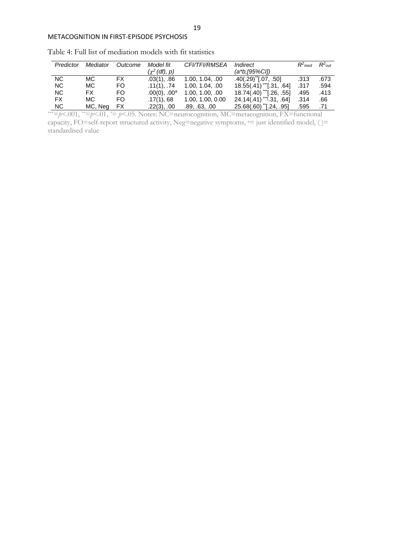| Predictor | Mediator | Outcome | Model fit          | <b>CFI/TFI/RMSEA</b> | Indirect                           | $R^2$ <sub>med</sub> | $R^2$ <sub>out</sub> |
|-----------|----------|---------|--------------------|----------------------|------------------------------------|----------------------|----------------------|
|           |          |         | $(\chi^2$ (df), p) |                      | (a*b.[95%CI])                      |                      |                      |
| NC.       | MC.      | FX.     | $.03(1)$ , $.86$   | 1.00, 1.04, .00      | $.40(.29)$ <sup>*</sup> [.07, .50] | .313                 | .673                 |
| NC.       | MC.      | FO.     | $.11(1)$ , .74     | 1.00, 1.04, .00      | $18.55(.41)$ [.31, .64]            | .317                 | .594                 |
| NC.       | FX.      | FO.     | $.00(0)$ , $.00^a$ | 1.00, 1.00, .00      | 18.74(.40) [.26, .55]              | .495                 | .413                 |
| FX.       | MC.      | FO.     | .17(1), 68         | 1.00, 1.00, 0.00     | $24.14(.41)$ ** $[.31, .64]$       | .314                 | .66                  |
| NC.       | MC, Neg  | FX      | $.22(3)$ , $.00$   | .89, .63, .00        | 25.68(.60) [.24, .95]              | .595                 | .71                  |

Table 4: Full list of mediation models with fit statistics

\*\*\*=*p*<.001, *\*\**=*p*<.01, *\**= *p*<.05. Notes: NC=neurocognition, MC=metacognition, FX=functional capacity, FO=self-report structured activity, Neg=negative symptoms,  $a=$  just identified model, ( )= standardised value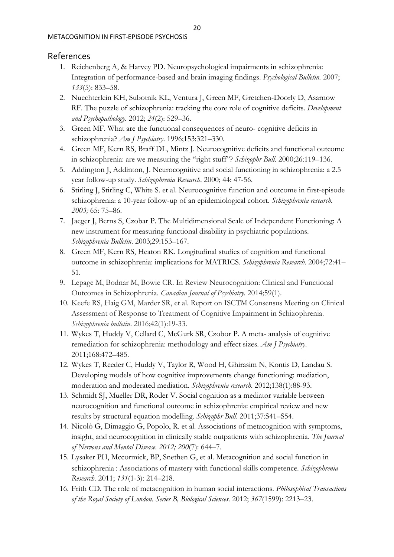# References

- 1. Reichenberg A, & Harvey PD. Neuropsychological impairments in schizophrenia: Integration of performance-based and brain imaging findings. *Psychological Bulletin.* 2007; *133*(5): 833–58.
- 2. Nuechterlein KH, Subotnik KL, Ventura J, Green MF, Gretchen-Doorly D, Asarnow RF. The puzzle of schizophrenia: tracking the core role of cognitive deficits. *Development and Psychopathology.* 2012; *24*(2): 529–36.
- 3. Green MF. What are the functional consequences of neuro- cognitive deficits in schizophrenia? *Am J Psychiatry*. 1996;153:321–330.
- 4. Green MF, Kern RS, Braff DL, Mintz J. Neurocognitive deficits and functional outcome in schizophrenia: are we measuring the "right stuff"? *Schizophr Bull.* 2000;26:119-136.
- 5. Addington J, Addinton, J. Neurocognitive and social functioning in schizophrenia: a 2.5 year follow-up study. *Schizophrenia Research*. 2000; 44: 47-56.
- 6. Stirling J, Stirling C, White S. et al. Neurocognitive function and outcome in first-episode schizophrenia: a 10-year follow-up of an epidemiological cohort. *Schizophrenia research. 2003;* 65: 75–86.
- 7. Jaeger J, Berns S, Czobar P. The Multidimensional Scale of Independent Functioning: A new instrument for measuring functional disability in psychiatric populations. *Schizophrenia Bulletin*. 2003;29:153–167.
- 8. Green MF, Kern RS, Heaton RK. Longitudinal studies of cognition and functional outcome in schizophrenia: implications for MATRICS. *Schizophrenia Research*. 2004;72:41– 51.
- 9. Lepage M, Bodnar M, Bowie CR. In Review Neurocognition: Clinical and Functional Outcomes in Schizophrenia. *Canadian Journal of Psychiatry*. 2014;59(1).
- 10. Keefe RS, Haig GM, Marder SR, et al. Report on ISCTM Consensus Meeting on Clinical Assessment of Response to Treatment of Cognitive Impairment in Schizophrenia. *Schizophrenia bulletin*. 2016;42(1):19-33.
- 11. Wykes T, Huddy V, Cellard C, McGurk SR, Czobor P. A meta- analysis of cognitive remediation for schizophrenia: methodology and effect sizes. *Am J Psychiatry*. 2011;168:472–485.
- 12. Wykes T, Reeder C, Huddy V, Taylor R, Wood H, Ghirasim N, Kontis D, Landau S. Developing models of how cognitive improvements change functioning: mediation, moderation and moderated mediation. *Schizophrenia research*. 2012;138(1):88-93.
- 13. Schmidt SJ, Mueller DR, Roder V. Social cognition as a mediator variable between neurocognition and functional outcome in schizophrenia: empirical review and new results by structural equation modelling. *Schizophr Bull*. 2011;37:S41–S54.
- 14. Nicolò G, Dimaggio G, Popolo, R. et al. Associations of metacognition with symptoms, insight, and neurocognition in clinically stable outpatients with schizophrenia. *The Journal of Nervous and Mental Disease. 2012; 200*(7): 644–7.
- 15. Lysaker PH, Mccormick, BP, Snethen G, et al. Metacognition and social function in schizophrenia : Associations of mastery with functional skills competence. *Schizophrenia Research*. 2011; *131*(1-3): 214–218.
- 16. Frith CD. The role of metacognition in human social interactions. *Philosophical Transactions of the Royal Society of London. Series B, Biological Sciences*. 2012; *367*(1599): 2213–23.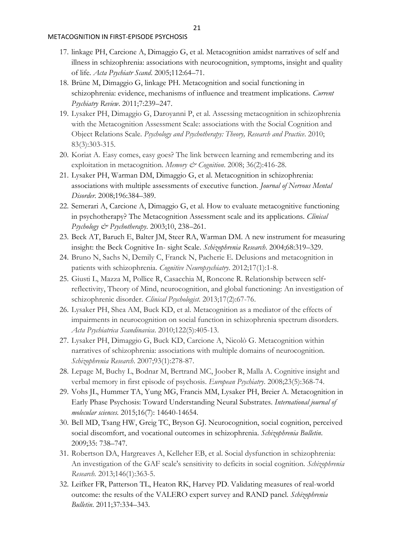- 17. linkage PH, Carcione A, Dimaggio G, et al. Metacognition amidst narratives of self and illness in schizophrenia: associations with neurocognition, symptoms, insight and quality of life*. Acta Psychiatr Scand*. 2005;112:64–71.
- 18. Brüne M, Dimaggio G, linkage PH. Metacognition and social functioning in schizophrenia: evidence, mechanisms of influence and treatment implications. *Current Psychiatry Review*. 2011;7:239–247.
- 19. Lysaker PH, Dimaggio G, Daroyanni P, et al. Assessing metacognition in schizophrenia with the Metacognition Assessment Scale: associations with the Social Cognition and Object Relations Scale. *Psychology and Psychotherapy: Theory, Research and Practice*. 2010; 83(3):303-315.
- 20. Koriat A. Easy comes, easy goes? The link between learning and remembering and its exploitation in metacognition. *Memory & Cognition*. 2008; 36(2):416-28.
- 21. Lysaker PH, Warman DM, Dimaggio G, et al. Metacognition in schizophrenia: associations with multiple assessments of executive function. *Journal of Nervous Mental Disorder*. 2008;196:384–389.
- 22. Semerari A, Carcione A, Dimaggio G, et al. How to evaluate metacognitive functioning in psychotherapy? The Metacognition Assessment scale and its applications. *Clinical Psychology & Psychotherapy*. 2003;10, 238–261.
- 23. Beck AT, Baruch E, Balter JM, Steer RA, Warman DM. A new instrument for measuring insight: the Beck Cognitive In- sight Scale. *Schizophrenia Research*. 2004;68:319–329.
- 24. Bruno N, Sachs N, Demily C, Franck N, Pacherie E. Delusions and metacognition in patients with schizophrenia. *Cognitive Neuropsychiatry*. 2012;17(1):1-8.
- 25. Giusti L, Mazza M, Pollice R, Casacchia M, Roncone R. Relationship between self‐ reflectivity, Theory of Mind, neurocognition, and global functioning: An investigation of schizophrenic disorder. *Clinical Psychologist*. 2013;17(2):67-76.
- 26. Lysaker PH, Shea AM, Buck KD, et al. Metacognition as a mediator of the effects of impairments in neurocognition on social function in schizophrenia spectrum disorders. *Acta Psychiatrica Scandinavica*. 2010;122(5):405-13.
- 27. Lysaker PH, Dimaggio G, Buck KD, Carcione A, Nicolò G. Metacognition within narratives of schizophrenia: associations with multiple domains of neurocognition. *Schizophrenia Research*. 2007;93(1):278-87.
- 28. Lepage M, Buchy L, Bodnar M, Bertrand MC, Joober R, Malla A. Cognitive insight and verbal memory in first episode of psychosis. *European Psychiatry*. 2008;23(5):368-74.
- 29. Vohs JL, Hummer TA, Yung MG, Francis MM, Lysaker PH, Breier A. Metacognition in Early Phase Psychosis: Toward Understanding Neural Substrates. *International journal of molecular sciences*. 2015;16(7): 14640-14654.
- 30. Bell MD, Tsang HW, Greig TC, Bryson GJ. Neurocognition, social cognition, perceived social discomfort, and vocational outcomes in schizophrenia. *Schizophrenia Bulletin*. 2009;35: 738–747.
- 31. Robertson DA, Hargreaves A, Kelleher EB, et al. Social dysfunction in schizophrenia: An investigation of the GAF scale's sensitivity to deficits in social cognition. *Schizophrenia Research.* 2013;146(1):363-5.
- 32. Leifker FR, Patterson TL, Heaton RK, Harvey PD. Validating measures of real-world outcome: the results of the VALERO expert survey and RAND panel. *Schizophrenia Bulletin*. 2011;37:334–343.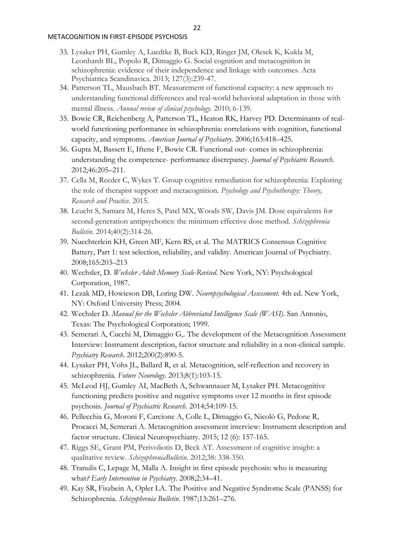- 33. Lysaker PH, Gumley A, Luedtke B, Buck KD, Ringer JM, Olesek K, Kukla M, Leonhardt BL, Popolo R, Dimaggio G. Social cognition and metacognition in schizophrenia: evidence of their independence and linkage with outcomes. Acta Psychiatrica Scandinavica. 2013; 127(3):239-47.
- 34. Patterson TL, Mausbach BT. Measurement of functional capacity: a new approach to understanding functional differences and real-world behavioral adaptation in those with mental illness. *Annual review of clinical psychology*. 2010; 6-139.
- 35. Bowie CR, Reichenberg A, Patterson TL, Heaton RK, Harvey PD. Determinants of realworld functioning performance in schizophrenia: correlations with cognition, functional capacity, and symptoms. *American Journal of Psychiatry*. 2006;163:418–425.
- 36. Gupta M, Bassett E, Iftene F, Bowie CR. Functional out- comes in schizophrenia: understanding the competence- performance discrepancy. *Journal of Psychiatric Research*. 2012;46:205–211.
- 37. Cella M, Reeder C, Wykes T. Group cognitive remediation for schizophrenia: Exploring the role of therapist support and metacognition. *Psychology and Psychotherapy: Theory, Research and Practice*. 2015.
- 38. Leucht S, Samara M, Heres S, Patel MX, Woods SW, Davis JM. Dose equivalents for second-generation antipsychotics: the minimum effective dose method. *Schizophrenia Bulletin*. 2014;40(2):314-26.
- 39. Nuechterlein KH, Green MF, Kern RS, et al. The MATRICS Consensus Cognitive Battery, Part 1: test selection, reliability, and validity. American Journal of Psychiatry. 2008;165:203–213
- 40. Wechsler, D. *Wechsler Adult Memory Scale-Revised*. New York, NY: Psychological Corporation, 1987.
- 41. Lezak MD, Howieson DB, Loring DW. *Neuropsychological Assessment*. 4th ed. New York, NY: Oxford University Press; 2004.
- 42. Wechsler D. *Manual for the Wechsler Abbreviated Intelligence Scale (WASI)*. San Antonio, Texas: The Psychological Corporation; 1999.
- 43. Semerari A, Cucchi M, Dimaggio G,. The development of the Metacognition Assessment Interview: Instrument description, factor structure and reliability in a non-clinical sample. *Psychiatry Research*. 2012;200(2):890-5.
- 44. Lysaker PH, Vohs JL, Ballard R, et al. Metacognition, self-reflection and recovery in schizophrenia*. Future Neurology*. 2013;8(1):103-15.
- 45. McLeod HJ, Gumley AI, MacBeth A, Schwannauer M, Lysaker PH. Metacognitive functioning predicts positive and negative symptoms over 12 months in first episode psychosis. *Journal of Psychiatric Research.* 2014;54:109-15.
- 46. Pellecchia G, Moroni F, Carcione A, Colle L, Dimaggio G, Nicolò G, Pedone R, Procacci M, Semerari A. Metacognition assessment interview: Instrument description and factor structure. Clinical Neuropsychiatry. 2015; 12 (6): 157-165.
- 47. Riggs SE, Grant PM, Perivoliotis D, Beck AT. Assessment of cognitive insight: a qualitative review*. SchizophreniaBulletin*. 2012;38: 338-350.
- 48. Tranulis C, Lepage M, Malla A. Insight in first episode psychosis: who is measuring what*? Early Intervention in Psychiatry*. 2008;2:34–41.
- 49. Kay SR, Fiszbein A, Opler LA. The Positive and Negative Syndrome Scale (PANSS) for Schizophrenia. *Schizophrenia Bulletin*. 1987;13:261–276.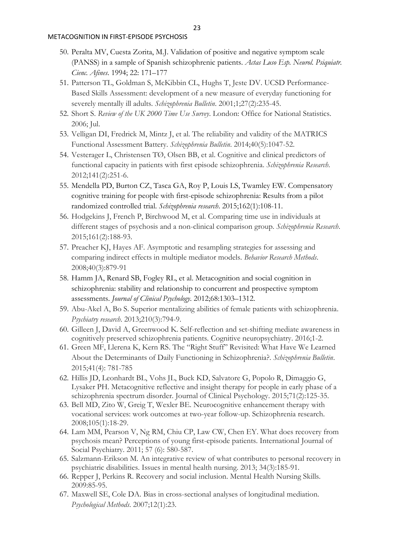- 50. Peralta MV, Cuesta Zorita, M.J. Validation of positive and negative symptom scale (PANSS) in a sample of Spanish schizophrenic patients. *Actas Luso Esp. Neurol. Psiquiatr. Cienc. Afines*. 1994; 22: 171–177
- 51. Patterson TL, Goldman S, McKibbin CL, Hughs T, Jeste DV. UCSD Performance-Based Skills Assessment: development of a new measure of everyday functioning for severely mentally ill adults. *Schizophrenia Bulletin*. 2001;1;27(2):235-45.
- 52. Short S. *Review of the UK 2000 Time Use Survey*. London: Office for National Statistics. 2006; Jul.
- 53. Velligan DI, Fredrick M, Mintz J, et al. The reliability and validity of the MATRICS Functional Assessment Battery. *Schizophrenia Bulletin*. 2014;40(5):1047-52.
- 54. Vesterager L, Christensen TØ, Olsen BB, et al. Cognitive and clinical predictors of functional capacity in patients with first episode schizophrenia. *Schizophrenia Research*. 2012;141(2):251-6.
- 55. Mendella PD, Burton CZ, Tasca GA, Roy P, Louis LS, Twamley EW. Compensatory cognitive training for people with first-episode schizophrenia: Results from a pilot randomized controlled trial. *Schizophrenia research*. 2015;162(1):108-11.
- 56. Hodgekins J, French P, Birchwood M, et al. Comparing time use in individuals at different stages of psychosis and a non-clinical comparison group. *Schizophrenia Research*. 2015;161(2):188-93.
- 57. Preacher KJ, Hayes AF. Asymptotic and resampling strategies for assessing and comparing indirect effects in multiple mediator models. *Behavior Research Methods*. 2008;40(3):879-91
- 58. Hamm JA, Renard SB, Fogley RL, et al. Metacognition and social cognition in schizophrenia: stability and relationship to concurrent and prospective symptom assessments. *Journal of Clinical Psychology*. 2012;68:1303–1312.
- 59. Abu-Akel A, Bo S. Superior mentalizing abilities of female patients with schizophrenia. *Psychiatry research*. 2013;210(3):794-9.
- 60. Gilleen J, David A, Greenwood K. Self-reflection and set-shifting mediate awareness in cognitively preserved schizophrenia patients. Cognitive neuropsychiatry. 2016;1-2.
- 61. Green MF, Llerena K, Kern RS. The "Right Stuff" Revisited: What Have We Learned About the Determinants of Daily Functioning in Schizophrenia?. *Schizophrenia Bulletin*. 2015;41(4): 781-785
- 62. Hillis JD, Leonhardt BL, Vohs JL, Buck KD, Salvatore G, Popolo R, Dimaggio G, Lysaker PH. Metacognitive reflective and insight therapy for people in early phase of a schizophrenia spectrum disorder. Journal of Clinical Psychology. 2015;71(2):125-35.
- 63. Bell MD, Zito W, Greig T, Wexler BE. Neurocognitive enhancement therapy with vocational services: work outcomes at two-year follow-up. Schizophrenia research. 2008;105(1):18-29.
- 64. Lam MM, Pearson V, Ng RM, Chiu CP, Law CW, Chen EY. What does recovery from psychosis mean? Perceptions of young first-episode patients. International Journal of Social Psychiatry. 2011; 57 (6): 580-587.
- 65. Salzmann-Erikson M. An integrative review of what contributes to personal recovery in psychiatric disabilities. Issues in mental health nursing. 2013; 34(3):185-91.
- 66. Repper J, Perkins R. Recovery and social inclusion. Mental Health Nursing Skills. 2009:85-95.
- 67. Maxwell SE, Cole DA. Bias in cross-sectional analyses of longitudinal mediation. *Psychological Methods*. 2007;12(1):23.